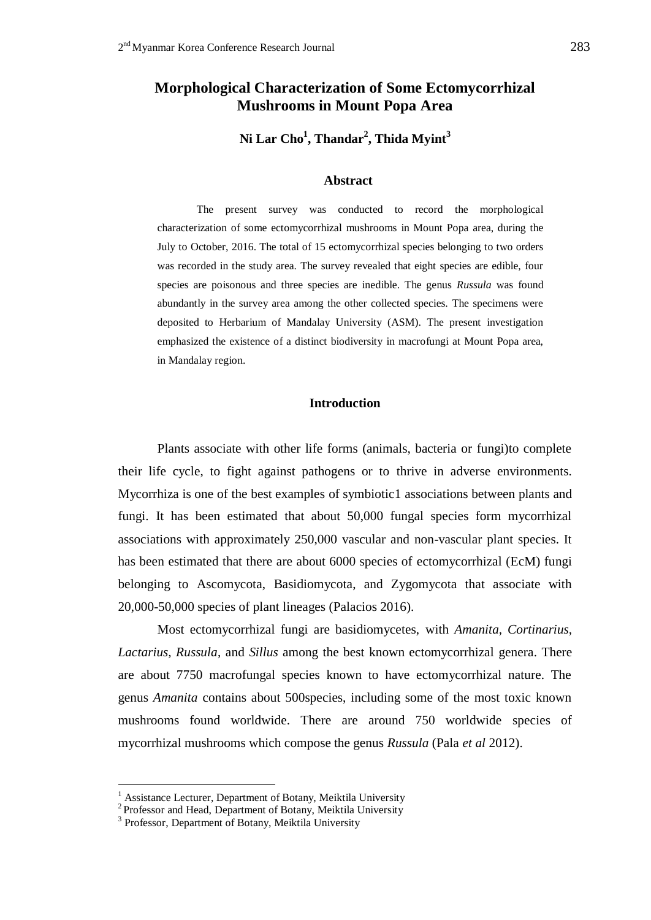# **Morphological Characterization of Some Ectomycorrhizal Mushrooms in Mount Popa Area**

**Ni Lar Cho<sup>1</sup> , Thandar<sup>2</sup> , Thida Myint<sup>3</sup>**

#### **Abstract**

The present survey was conducted to record the morphological characterization of some ectomycorrhizal mushrooms in Mount Popa area, during the July to October, 2016. The total of 15 ectomycorrhizal species belonging to two orders was recorded in the study area. The survey revealed that eight species are edible, four species are poisonous and three species are inedible. The genus *Russula* was found abundantly in the survey area among the other collected species. The specimens were deposited to Herbarium of Mandalay University (ASM). The present investigation emphasized the existence of a distinct biodiversity in macrofungi at Mount Popa area, in Mandalay region.

### **Introduction**

Plants associate with other life forms (animals, bacteria or fungi)to complete their life cycle, to fight against pathogens or to thrive in adverse environments. Mycorrhiza is one of the best examples of symbiotic1 associations between plants and fungi. It has been estimated that about 50,000 fungal species form mycorrhizal associations with approximately 250,000 vascular and non-vascular plant species. It has been estimated that there are about 6000 species of ectomycorrhizal (EcM) fungi belonging to Ascomycota, Basidiomycota, and Zygomycota that associate with 20,000-50,000 species of plant lineages (Palacios 2016).

Most ectomycorrhizal fungi are basidiomycetes, with *Amanita, Cortinarius, Lactarius, Russula*, and *Sillus* among the best known ectomycorrhizal genera. There are about 7750 macrofungal species known to have ectomycorrhizal nature. The genus *Amanita* contains about 500species, including some of the most toxic known mushrooms found worldwide. There are around 750 worldwide species of mycorrhizal mushrooms which compose the genus *Russula* (Pala *et al* 2012).

1

<sup>1</sup> Assistance Lecturer, Department of Botany, Meiktila University

<sup>&</sup>lt;sup>2</sup> Professor and Head, Department of Botany, Meiktila University

<sup>&</sup>lt;sup>3</sup> Professor, Department of Botany, Meiktila University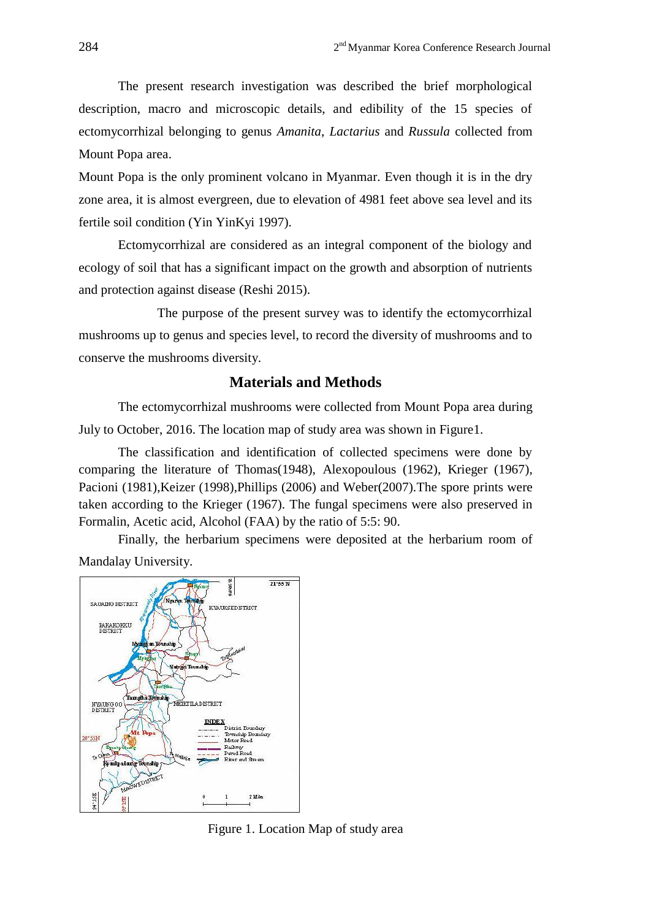The present research investigation was described the brief morphological description, macro and microscopic details, and edibility of the 15 species of ectomycorrhizal belonging to genus *Amanita*, *Lactarius* and *Russula* collected from Mount Popa area.

Mount Popa is the only prominent volcano in Myanmar. Even though it is in the dry zone area, it is almost evergreen, due to elevation of 4981 feet above sea level and its fertile soil condition (Yin YinKyi 1997).

Ectomycorrhizal are considered as an integral component of the biology and ecology of soil that has a significant impact on the growth and absorption of nutrients and protection against disease (Reshi 2015).

The purpose of the present survey was to identify the ectomycorrhizal mushrooms up to genus and species level, to record the diversity of mushrooms and to conserve the mushrooms diversity.

## **Materials and Methods**

The ectomycorrhizal mushrooms were collected from Mount Popa area during July to October, 2016. The location map of study area was shown in Figure1.

The classification and identification of collected specimens were done by comparing the literature of Thomas(1948), Alexopoulous (1962), Krieger (1967), Pacioni (1981),Keizer (1998),Phillips (2006) and Weber(2007).The spore prints were taken according to the Krieger (1967). The fungal specimens were also preserved in Formalin, Acetic acid, Alcohol (FAA) by the ratio of 5:5: 90.

Finally, the herbarium specimens were deposited at the herbarium room of Mandalay University.



Figure 1. Location Map of study area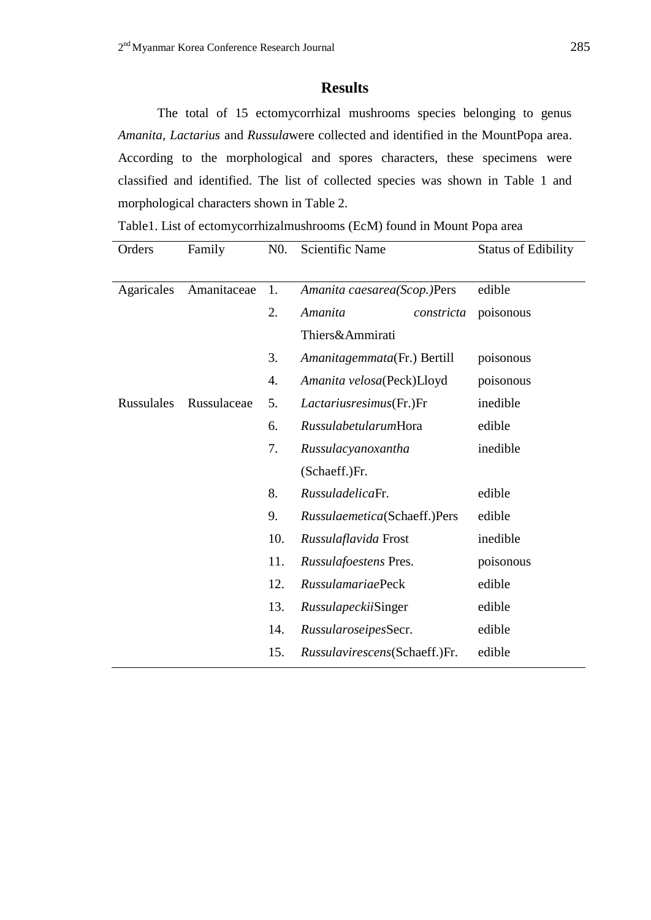## **Results**

The total of 15 ectomycorrhizal mushrooms species belonging to genus *Amanita, Lactarius* and *Russula*were collected and identified in the MountPopa area. According to the morphological and spores characters, these specimens were classified and identified. The list of collected species was shown in Table 1 and morphological characters shown in Table 2.

Table1. List of ectomycorrhizalmushrooms (EcM) found in Mount Popa area

| Orders     | Family      | $N0$ .           | Scientific Name               | <b>Status of Edibility</b> |  |
|------------|-------------|------------------|-------------------------------|----------------------------|--|
|            |             |                  |                               |                            |  |
| Agaricales | Amanitaceae | 1.               | Amanita caesarea(Scop.)Pers   | edible                     |  |
|            |             | 2.               | Amanita<br>constricta         | poisonous                  |  |
|            |             |                  | Thiers&Ammirati               |                            |  |
|            |             | 3.               | Amanitagemmata(Fr.) Bertill   | poisonous                  |  |
|            |             | $\overline{4}$ . | Amanita velosa(Peck)Lloyd     | poisonous                  |  |
| Russulales | Russulaceae | 5.               | Lactariusresimus(Fr.)Fr       | inedible                   |  |
|            |             | 6.               | RussulabetularumHora          | edible                     |  |
|            |             | 7.               | Russulacyanoxantha            | inedible                   |  |
|            |             |                  | (Schaeff.)Fr.                 |                            |  |
|            |             | 8.               | RussuladelicaFr.              | edible                     |  |
|            |             | 9.               | Russulaemetica(Schaeff.)Pers  | edible                     |  |
|            |             | 10.              | Russulaflavida Frost          | inedible                   |  |
|            |             | 11.              | Russulafoestens Pres.         | poisonous                  |  |
|            |             | 12.              | <b>RussulamariaePeck</b>      | edible                     |  |
|            |             | 13.              | <i>Russulapeckii</i> Singer   | edible                     |  |
|            |             | 14.              | RussularoseipesSecr.          | edible                     |  |
|            |             | 15.              | Russulavirescens(Schaeff.)Fr. | edible                     |  |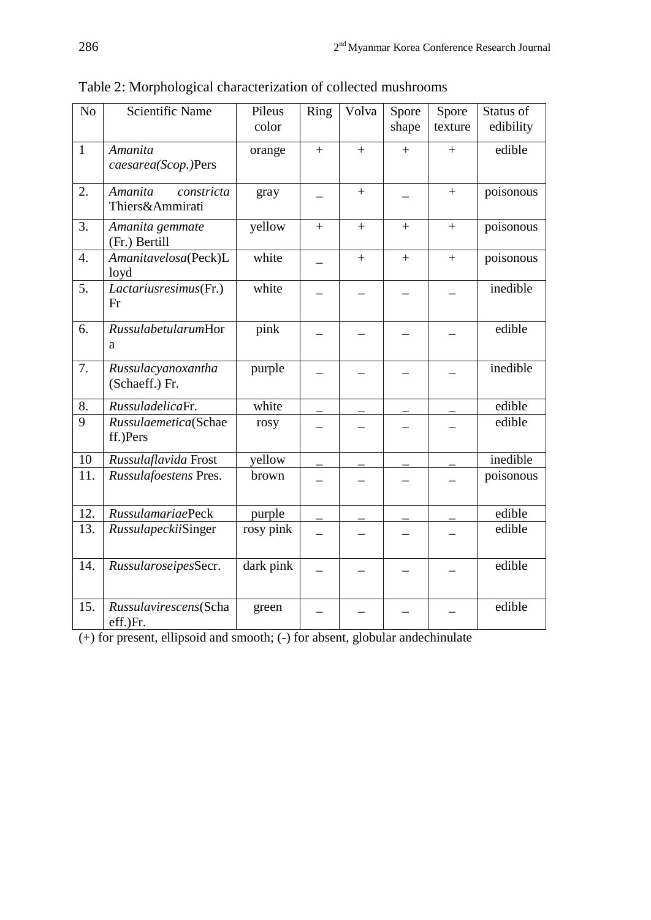| N <sub>o</sub>   | <b>Scientific Name</b>                   | Pileus<br>color | Ring | Volva | Spore<br>shape | Spore<br>texture  | Status of<br>edibility |
|------------------|------------------------------------------|-----------------|------|-------|----------------|-------------------|------------------------|
| $\mathbf{1}$     | Amanita<br>caesarea(Scop.)Pers           | orange          | $+$  | $+$   | $+$            | $+$               | edible                 |
| 2.               | Amanita<br>constricta<br>Thiers&Ammirati | gray            |      | $+$   |                | $+$               | poisonous              |
| 3.               | Amanita gemmate<br>(Fr.) Bertill         | yellow          | $+$  | $+$   | $+$            | $\qquad \qquad +$ | poisonous              |
| $\overline{4}$ . | Amanitavelosa(Peck)L<br>loyd             | white           |      | $+$   | $+$            | $+$               | poisonous              |
| 5.               | Lactariusresimus(Fr.)<br>Fr              | white           |      |       |                |                   | inedible               |
| 6.               | RussulabetularumHor<br>a                 | pink            |      |       |                |                   | edible                 |
| 7.               | Russulacyanoxantha<br>(Schaeff.) Fr.     | purple          |      |       |                |                   | inedible               |
| 8.               | RussuladelicaFr.                         | white           |      |       |                |                   | edible                 |
| 9                | Russulaemetica(Schae<br>ff.)Pers         | rosy            |      |       |                |                   | edible                 |
| 10               | Russulaflavida Frost                     | yellow          |      |       |                |                   | inedible               |
| 11.              | Russulafoestens Pres.                    | brown           |      |       |                |                   | poisonous              |
| 12.              | <b>RussulamariaePeck</b>                 | purple          |      |       |                |                   | edible                 |
| 13.              | RussulapeckiiSinger                      | rosy pink       |      |       |                |                   | edible                 |
| 14.              | RussularoseipesSecr.                     | dark pink       |      |       |                |                   | edible                 |
| 15.              | Russulavirescens(Scha<br>eff.)Fr.        | green           |      |       |                |                   | edible                 |

Table 2: Morphological characterization of collected mushrooms

(+) for present, ellipsoid and smooth; (-) for absent, globular andechinulate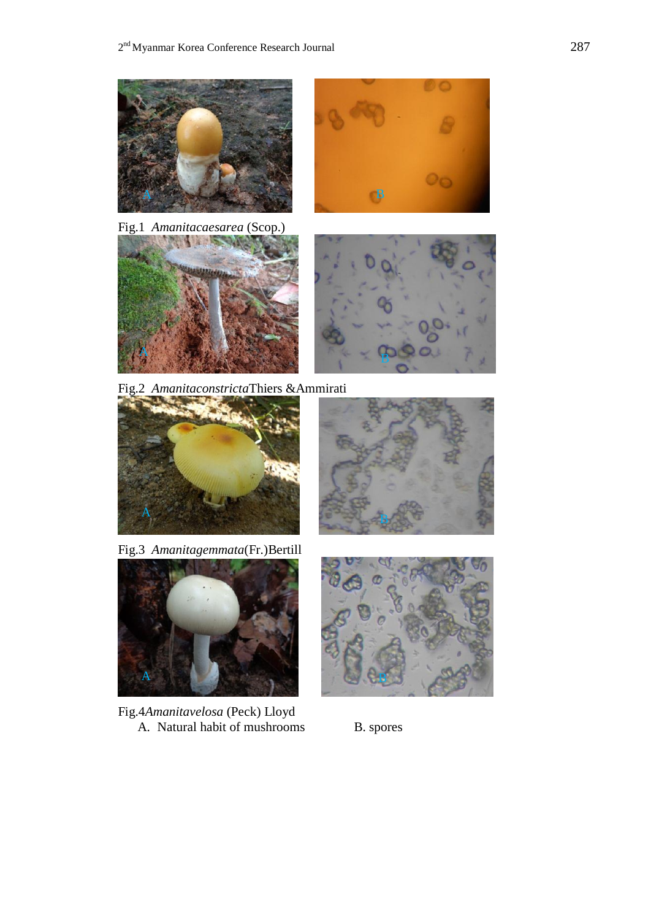

 $\parallel$ A

Fig.3 *Amanitagemmata*(Fr.)Bertill



Fig.4*Amanitavelosa* (Peck) Lloyd A. Natural habit of mushrooms B. spores

![](_page_4_Picture_6.jpeg)

![](_page_4_Picture_7.jpeg)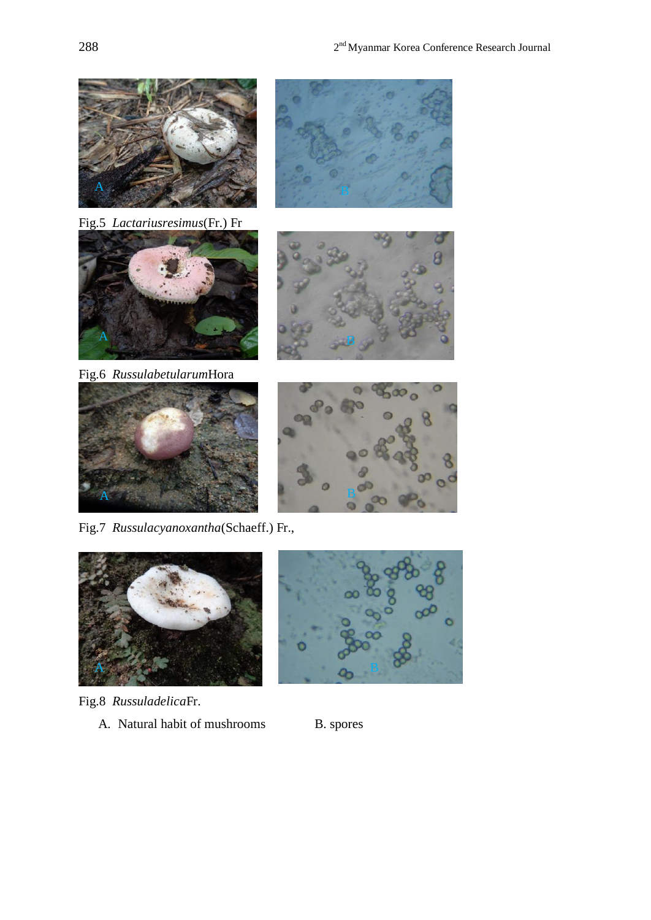![](_page_5_Picture_1.jpeg)

Fig.5 *Lactariusresimus*(Fr.) Fr

![](_page_5_Picture_3.jpeg)

Fig.6 *Russulabetularum*Hora

![](_page_5_Picture_5.jpeg)

Fig.7 *Russulacyanoxantha*(Schaeff.) Fr.,

![](_page_5_Picture_7.jpeg)

- Fig.8 *Russuladelica*Fr.
	- A. Natural habit of mushrooms B. spores

![](_page_5_Picture_10.jpeg)

![](_page_5_Picture_13.jpeg)

![](_page_5_Picture_14.jpeg)

![](_page_5_Picture_15.jpeg)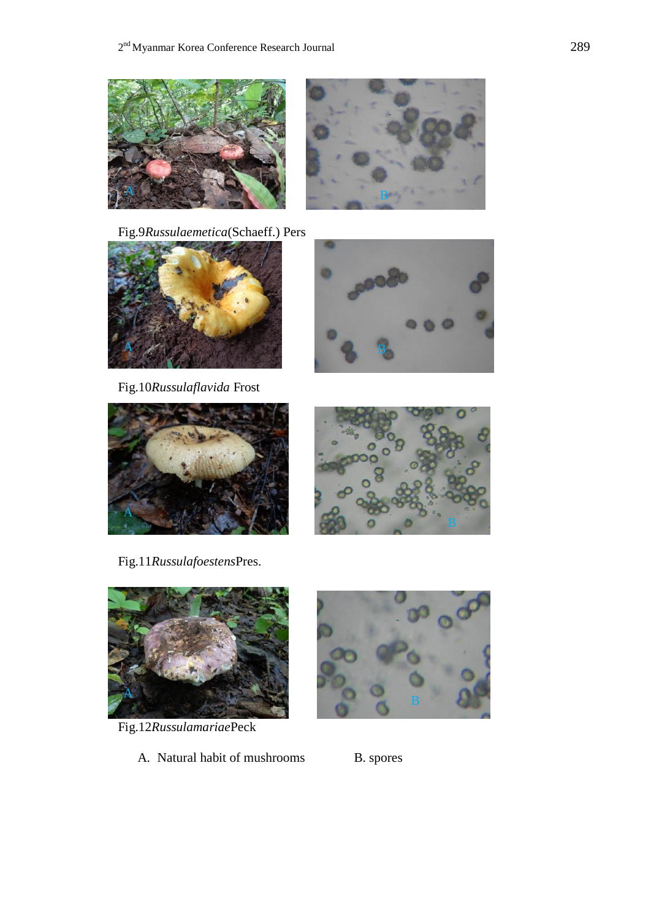![](_page_6_Picture_1.jpeg)

Fig.9*Russulaemetica*(Schaeff.) Pers

![](_page_6_Picture_3.jpeg)

Fig.10*Russulaflavida* Frost

![](_page_6_Picture_5.jpeg)

B

![](_page_6_Picture_6.jpeg)

Fig.11*Russulafoestens*Pres.

![](_page_6_Picture_8.jpeg)

Fig.12*Russulamariae*Peck

A. Natural habit of mushrooms B. spores

![](_page_6_Picture_11.jpeg)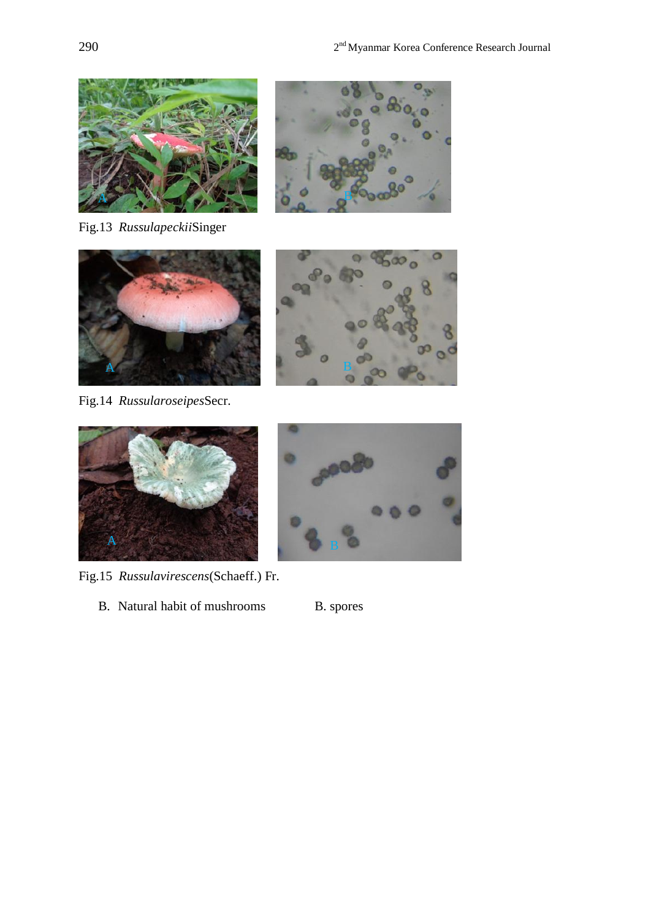![](_page_7_Picture_1.jpeg)

Fig.13 *Russulapeckii*Singer

![](_page_7_Picture_3.jpeg)

![](_page_7_Picture_4.jpeg)

Fig.14 *Russularoseipes*Secr.

A

![](_page_7_Picture_6.jpeg)

Fig.15 *Russulavirescens*(Schaeff.) Fr.

B. Natural habit of mushrooms B. spores

![](_page_7_Picture_9.jpeg)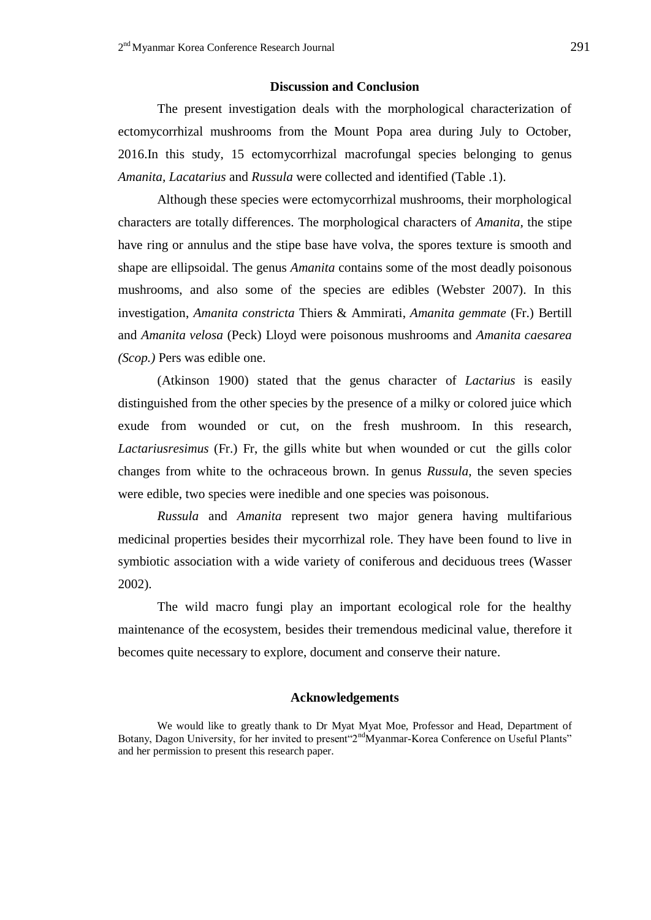### **Discussion and Conclusion**

The present investigation deals with the morphological characterization of ectomycorrhizal mushrooms from the Mount Popa area during July to October, 2016.In this study, 15 ectomycorrhizal macrofungal species belonging to genus *Amanita, Lacatarius* and *Russula* were collected and identified (Table .1).

Although these species were ectomycorrhizal mushrooms, their morphological characters are totally differences. The morphological characters of *Amanita,* the stipe have ring or annulus and the stipe base have volva, the spores texture is smooth and shape are ellipsoidal. The genus *Amanita* contains some of the most deadly poisonous mushrooms, and also some of the species are edibles (Webster 2007). In this investigation, *Amanita constricta* Thiers & Ammirati, *Amanita gemmate* (Fr.) Bertill and *Amanita velosa* (Peck) Lloyd were poisonous mushrooms and *Amanita caesarea (Scop.)* Pers was edible one.

(Atkinson 1900) stated that the genus character of *Lactarius* is easily distinguished from the other species by the presence of a milky or colored juice which exude from wounded or cut, on the fresh mushroom. In this research, *Lactariusresimus* (Fr.) Fr, the gills white but when wounded or cut the gills color changes from white to the ochraceous brown. In genus *Russula*, the seven species were edible, two species were inedible and one species was poisonous.

*Russula* and *Amanita* represent two major genera having multifarious medicinal properties besides their mycorrhizal role. They have been found to live in symbiotic association with a wide variety of coniferous and deciduous trees (Wasser 2002).

The wild macro fungi play an important ecological role for the healthy maintenance of the ecosystem, besides their tremendous medicinal value, therefore it becomes quite necessary to explore, document and conserve their nature.

### **Acknowledgements**

We would like to greatly thank to Dr Myat Myat Moe, Professor and Head, Department of Botany, Dagon University, for her invited to present <sup>2nd</sup>Myanmar-Korea Conference on Useful Plants" and her permission to present this research paper.